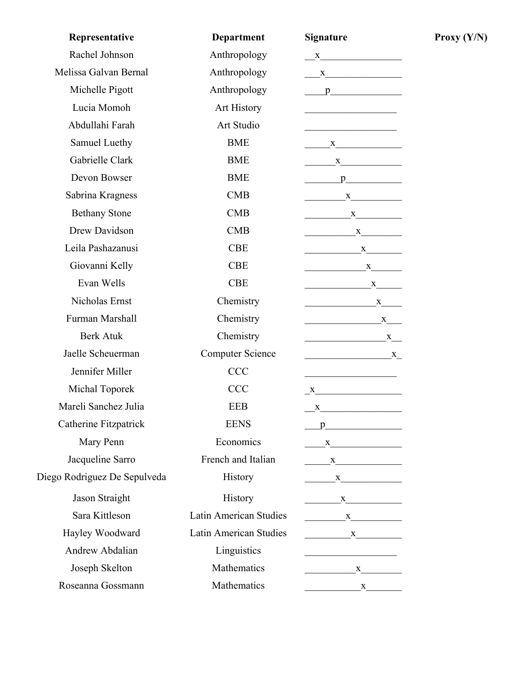| Representative               | <b>Department</b>             | <b>Signature</b>                                                                                                                                                                                                                                                                                                                                                                                                                                                                                                          |
|------------------------------|-------------------------------|---------------------------------------------------------------------------------------------------------------------------------------------------------------------------------------------------------------------------------------------------------------------------------------------------------------------------------------------------------------------------------------------------------------------------------------------------------------------------------------------------------------------------|
| Rachel Johnson               | Anthropology                  | $\mathbf{X}$                                                                                                                                                                                                                                                                                                                                                                                                                                                                                                              |
| Melissa Galvan Bernal        | Anthropology                  | $\frac{\mathbf{x}}{\mathbf{y} + \mathbf{y}}$                                                                                                                                                                                                                                                                                                                                                                                                                                                                              |
| Michelle Pigott              | Anthropology                  | $p$ and $p$ and $p$ and $p$ and $p$ and $p$ and $p$ and $p$ and $p$ and $p$ and $p$ and $p$ and $p$ and $p$ and $p$ and $p$ and $p$ and $p$ and $p$ and $p$ and $p$ and $p$ and $p$ and $p$ and $p$ and $p$ and $p$ and $p$ a                                                                                                                                                                                                                                                                                             |
| Lucia Momoh                  | Art History                   |                                                                                                                                                                                                                                                                                                                                                                                                                                                                                                                           |
| Abdullahi Farah              | Art Studio                    |                                                                                                                                                                                                                                                                                                                                                                                                                                                                                                                           |
| Samuel Luethy                | <b>BME</b>                    | $\mathbf{X}$                                                                                                                                                                                                                                                                                                                                                                                                                                                                                                              |
| Gabrielle Clark              | <b>BME</b>                    | X                                                                                                                                                                                                                                                                                                                                                                                                                                                                                                                         |
| Devon Bowser                 | <b>BME</b>                    | $p$ and $p$ and $p$ and $p$ and $p$ and $p$ and $p$ and $p$ and $p$ and $p$ and $p$ and $p$ and $p$ and $p$ and $p$ and $p$ and $p$ and $p$ and $p$ and $p$ and $p$ and $p$ and $p$ and $p$ and $p$ and $p$ and $p$ and $p$ a                                                                                                                                                                                                                                                                                             |
| Sabrina Kragness             | <b>CMB</b>                    | $\mathbf{X}$                                                                                                                                                                                                                                                                                                                                                                                                                                                                                                              |
| <b>Bethany Stone</b>         | <b>CMB</b>                    | $\begin{array}{c}\nX\n\end{array}$                                                                                                                                                                                                                                                                                                                                                                                                                                                                                        |
| Drew Davidson                | <b>CMB</b>                    | $X$ and $X$ and $X$ and $X$ and $X$ and $X$ and $X$ and $X$ and $X$ and $X$ and $X$ and $X$ and $X$ and $X$ and $X$ and $X$ and $X$ and $X$ and $X$ and $X$ and $X$ and $X$ and $X$ and $X$ and $X$ and $X$ and $X$ and $X$ a                                                                                                                                                                                                                                                                                             |
| Leila Pashazanusi            | <b>CBE</b>                    | $\mathbf X$                                                                                                                                                                                                                                                                                                                                                                                                                                                                                                               |
| Giovanni Kelly               | <b>CBE</b>                    | $\overbrace{\text{ }}^{X}$                                                                                                                                                                                                                                                                                                                                                                                                                                                                                                |
| Evan Wells                   | <b>CBE</b>                    | $\overbrace{\text{ }}$ $\overbrace{\text{ }}$ $\overbrace{\text{ }}$ $\overbrace{\text{ }}$ $\overbrace{\text{ }}$ $\overbrace{\text{ }}$ $\overbrace{\text{ }}$ $\overbrace{\text{ }}$ $\overbrace{\text{ }}$ $\overbrace{\text{ }}$ $\overbrace{\text{ }}$ $\overbrace{\text{ }}$ $\overbrace{\text{ }}$ $\overbrace{\text{ }}$ $\overbrace{\text{ }}$ $\overbrace{\text{ }}$ $\overbrace{\text{ }}$ $\overbrace{\text{ }}$ $\overbrace{\text{ }}$ $\overbrace{\text{ }}$ $\overbrace{\text{ }}$ $\overbrace{\text{ }}$ |
| Nicholas Ernst               | Chemistry                     | $\mathbf{X}$                                                                                                                                                                                                                                                                                                                                                                                                                                                                                                              |
| Furman Marshall              | Chemistry                     | $\mathbf{X}$ and $\mathbf{X}$ and $\mathbf{X}$ and $\mathbf{X}$                                                                                                                                                                                                                                                                                                                                                                                                                                                           |
| <b>Berk Atuk</b>             | Chemistry                     | $\mathbf{x}$                                                                                                                                                                                                                                                                                                                                                                                                                                                                                                              |
| Jaelle Scheuerman            | <b>Computer Science</b>       | $\mathbf{X}$                                                                                                                                                                                                                                                                                                                                                                                                                                                                                                              |
| Jennifer Miller              | <b>CCC</b>                    | <u> 1989 - Johann Barbara, martxa al III-lea (h. 1974).</u>                                                                                                                                                                                                                                                                                                                                                                                                                                                               |
| Michal Toporek               | <b>CCC</b>                    | $\mathbf{X}$                                                                                                                                                                                                                                                                                                                                                                                                                                                                                                              |
| Mareli Sanchez Julia         | <b>EEB</b>                    | $\mathbf X$ and $\mathbf X$ and $\mathbf X$ and $\mathbf X$ and $\mathbf X$ and $\mathbf X$ and $\mathbf X$ and $\mathbf X$ and $\mathbf X$ and $\mathbf X$ and $\mathbf X$ and $\mathbf X$ and $\mathbf X$ and $\mathbf X$ and $\mathbf X$ and $\mathbf X$ and $\mathbf X$ and $\mathbf X$ and $\mathbf X$ and $\mathbf X$ and                                                                                                                                                                                           |
| Catherine Fitzpatrick        | <b>EENS</b>                   | $p$ and $p$ and $p$ and $p$ and $p$ and $p$ and $p$ and $p$ and $p$ and $p$ and $p$ and $p$ and $p$ and $p$ and $p$ and $p$ and $p$ and $p$ and $p$ and $p$ and $p$ and $p$ and $p$ and $p$ and $p$ and $p$ and $p$ and $p$ a                                                                                                                                                                                                                                                                                             |
| Mary Penn                    | Economics                     | X                                                                                                                                                                                                                                                                                                                                                                                                                                                                                                                         |
| Jacqueline Sarro             | French and Italian            | X                                                                                                                                                                                                                                                                                                                                                                                                                                                                                                                         |
| Diego Rodriguez De Sepulveda | History                       | $\mathbf{X}$                                                                                                                                                                                                                                                                                                                                                                                                                                                                                                              |
| Jason Straight               | History                       | $\mathbf{X}$                                                                                                                                                                                                                                                                                                                                                                                                                                                                                                              |
| Sara Kittleson               | Latin American Studies        | $\mathbf{x}$                                                                                                                                                                                                                                                                                                                                                                                                                                                                                                              |
| Hayley Woodward              | <b>Latin American Studies</b> | $\mathbf{X}$                                                                                                                                                                                                                                                                                                                                                                                                                                                                                                              |
| Andrew Abdalian              | Linguistics                   | <u> 1989 - Johann John Stone, market fransk politiker (</u>                                                                                                                                                                                                                                                                                                                                                                                                                                                               |
| Joseph Skelton               | Mathematics                   | $\mathbf X$                                                                                                                                                                                                                                                                                                                                                                                                                                                                                                               |
| Roseanna Gossmann            | Mathematics                   |                                                                                                                                                                                                                                                                                                                                                                                                                                                                                                                           |

**Proxy**  $(Y/N)$